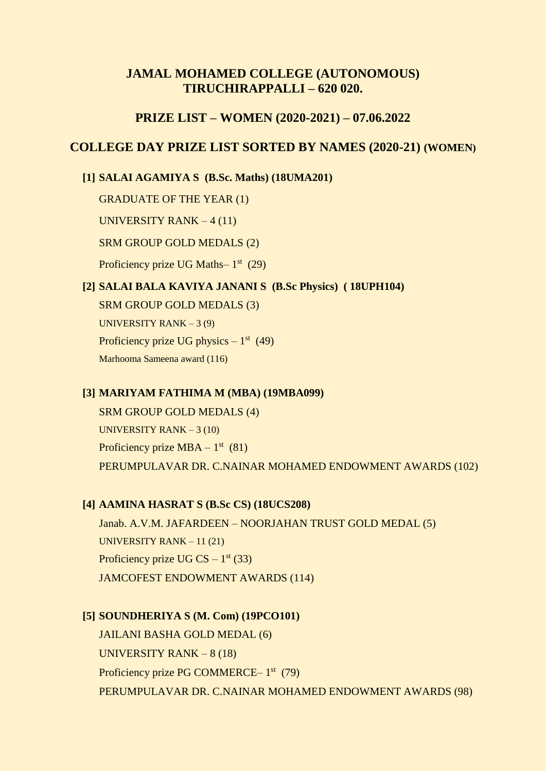# **JAMAL MOHAMED COLLEGE (AUTONOMOUS) TIRUCHIRAPPALLI – 620 020.**

# **PRIZE LIST – WOMEN (2020-2021) – 07.06.2022**

# **COLLEGE DAY PRIZE LIST SORTED BY NAMES (2020-21) (WOMEN)**

### **[1] SALAI AGAMIYA S (B.Sc. Maths) (18UMA201)**

GRADUATE OF THE YEAR (1)

UNIVERSITY RANK – 4 (11)

### SRM GROUP GOLD MEDALS (2)

Proficiency prize UG Maths- 1<sup>st</sup> (29)

# **[2] SALAI BALA KAVIYA JANANI S (B.Sc Physics) ( 18UPH104)**

SRM GROUP GOLD MEDALS (3) UNIVERSITY RANK – 3 (9) Proficiency prize UG physics  $-1<sup>st</sup>$  (49) Marhooma Sameena award (116)

### **[3] MARIYAM FATHIMA M (MBA) (19MBA099)**

SRM GROUP GOLD MEDALS (4) UNIVERSITY RANK – 3 (10) Proficiency prize  $MBA - 1<sup>st</sup>$  (81) PERUMPULAVAR DR. C.NAINAR MOHAMED ENDOWMENT AWARDS (102)

#### **[4] AAMINA HASRAT S (B.Sc CS) (18UCS208)**

Janab. A.V.M. JAFARDEEN – NOORJAHAN TRUST GOLD MEDAL (5) UNIVERSITY RANK – 11 (21) Proficiency prize UG CS  $-1<sup>st</sup>$  (33) JAMCOFEST ENDOWMENT AWARDS (114)

## **[5] SOUNDHERIYA S (M. Com) (19PCO101)**

JAILANI BASHA GOLD MEDAL (6) UNIVERSITY RANK – 8 (18) Proficiency prize PG COMMERCE-1<sup>st</sup> (79) PERUMPULAVAR DR. C.NAINAR MOHAMED ENDOWMENT AWARDS (98)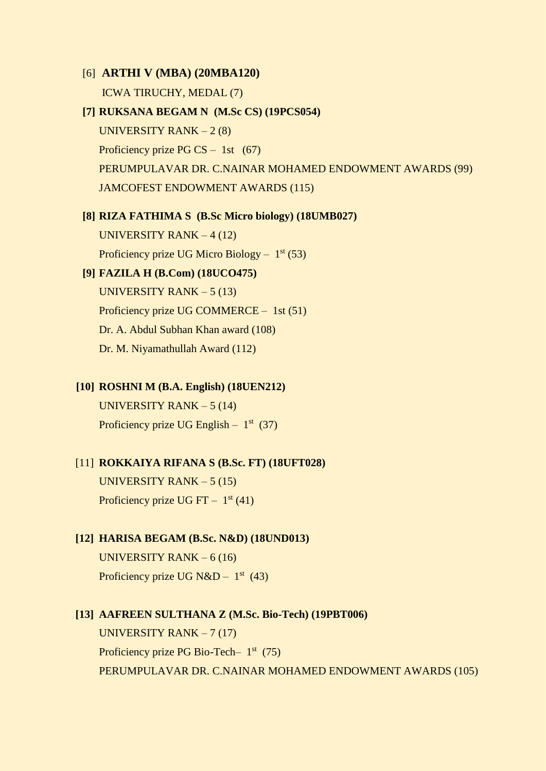### [6] **ARTHI V (MBA) (20MBA120)**

ICWA TIRUCHY, MEDAL (7)

# **[7] RUKSANA BEGAM N (M.Sc CS) (19PCS054)**

UNIVERSITY RANK  $-2(8)$ Proficiency prize PG  $CS - 1st$  (67) PERUMPULAVAR DR. C.NAINAR MOHAMED ENDOWMENT AWARDS (99) JAMCOFEST ENDOWMENT AWARDS (115)

# **[8] RIZA FATHIMA S (B.Sc Micro biology) (18UMB027)**

UNIVERSITY RANK – 4 (12) Proficiency prize UG Micro Biology  $-1^{st}$  (53)

# **[9] FAZILA H (B.Com) (18UCO475)**

UNIVERSITY RANK  $-5(13)$ Proficiency prize UG COMMERCE – 1st (51) Dr. A. Abdul Subhan Khan award (108) Dr. M. Niyamathullah Award (112)

#### **[10] ROSHNI M (B.A. English) (18UEN212)**

UNIVERSITY RANK – 5 (14) Proficiency prize UG English  $-1^{st}$  (37)

# [11] **ROKKAIYA RIFANA S (B.Sc. FT) (18UFT028)**

UNIVERSITY RANK – 5 (15) Proficiency prize UG FT  $-1^{st}(41)$ 

# **[12] HARISA BEGAM (B.Sc. N&D) (18UND013)**

UNIVERSITY RANK – 6 (16) Proficiency prize UG N&D –  $1<sup>st</sup>$  (43)

#### **[13] AAFREEN SULTHANA Z (M.Sc. Bio-Tech) (19PBT006)**

UNIVERSITY RANK – 7 (17) Proficiency prize PG Bio-Tech- 1<sup>st</sup> (75) PERUMPULAVAR DR. C.NAINAR MOHAMED ENDOWMENT AWARDS (105)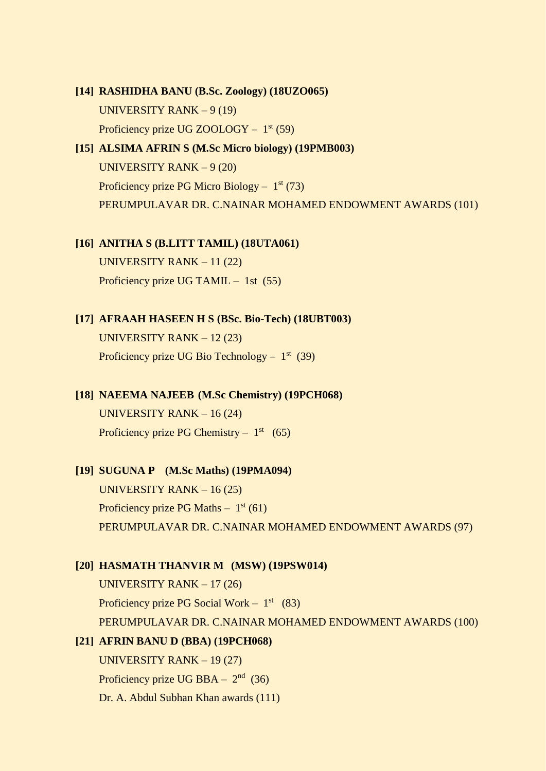# **[14] RASHIDHA BANU (B.Sc. Zoology) (18UZO065)** UNIVERSITY RANK – 9 (19) Proficiency prize UG ZOOLOGY - 1<sup>st</sup> (59)

# **[15] ALSIMA AFRIN S (M.Sc Micro biology) (19PMB003)** UNIVERSITY RANK – 9 (20) Proficiency prize PG Micro Biology  $-1^{st}$  (73) PERUMPULAVAR DR. C.NAINAR MOHAMED ENDOWMENT AWARDS (101)

# **[16] ANITHA S (B.LITT TAMIL) (18UTA061)**

UNIVERSITY RANK – 11 (22) Proficiency prize UG TAMIL – 1st (55)

# **[17] AFRAAH HASEEN H S (BSc. Bio-Tech) (18UBT003)** UNIVERSITY RANK – 12 (23) Proficiency prize UG Bio Technology  $-1^{st}$  (39)

**[18] NAEEMA NAJEEB (M.Sc Chemistry) (19PCH068)** UNIVERSITY RANK – 16 (24) Proficiency prize PG Chemistry  $-1<sup>st</sup>$  (65)

# **[19] SUGUNA P (M.Sc Maths) (19PMA094)**

UNIVERSITY RANK – 16 (25) Proficiency prize PG Maths  $-1^{st}(61)$ PERUMPULAVAR DR. C.NAINAR MOHAMED ENDOWMENT AWARDS (97)

# **[20] HASMATH THANVIR M (MSW) (19PSW014)**

UNIVERSITY RANK – 17 (26) Proficiency prize PG Social Work –  $1<sup>st</sup>$  (83) PERUMPULAVAR DR. C.NAINAR MOHAMED ENDOWMENT AWARDS (100)

# **[21] AFRIN BANU D (BBA) (19PCH068)**

UNIVERSITY RANK – 19 (27) Proficiency prize UG BBA  $- 2<sup>nd</sup>$  (36) Dr. A. Abdul Subhan Khan awards (111)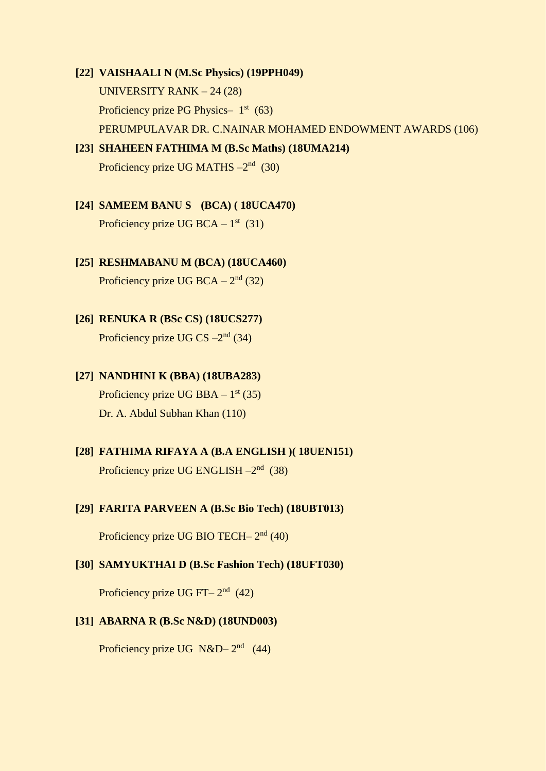# **[22] VAISHAALI N (M.Sc Physics) (19PPH049)** UNIVERSITY RANK – 24 (28) Proficiency prize PG Physics  $-1$ <sup>st</sup> (63) PERUMPULAVAR DR. C.NAINAR MOHAMED ENDOWMENT AWARDS (106)

# **[23] SHAHEEN FATHIMA M (B.Sc Maths) (18UMA214)**

Proficiency prize UG MATHS -2<sup>nd</sup> (30)

# **[24] SAMEEM BANU S (BCA) ( 18UCA470)**

Proficiency prize UG BCA  $-1<sup>st</sup>$  (31)

# **[25] RESHMABANU M (BCA) (18UCA460)**

Proficiency prize UG BCA  $-2<sup>nd</sup>$  (32)

# **[26] RENUKA R (BSc CS) (18UCS277)** Proficiency prize UG CS  $-2<sup>nd</sup>$  (34)

# **[27] NANDHINI K (BBA) (18UBA283)** Proficiency prize UG BBA  $-1^{st}$  (35)

Dr. A. Abdul Subhan Khan (110)

# **[28] FATHIMA RIFAYA A (B.A ENGLISH )( 18UEN151)** Proficiency prize UG ENGLISH -2<sup>nd</sup> (38)

# **[29] FARITA PARVEEN A (B.Sc Bio Tech) (18UBT013)**

Proficiency prize UG BIO TECH- 2<sup>nd</sup> (40)

# **[30] SAMYUKTHAI D (B.Sc Fashion Tech) (18UFT030)**

Proficiency prize UG FT $- 2<sup>nd</sup>$  (42)

# **[31] ABARNA R (B.Sc N&D) (18UND003)**

Proficiency prize UG N&D– $2<sup>nd</sup>$  (44)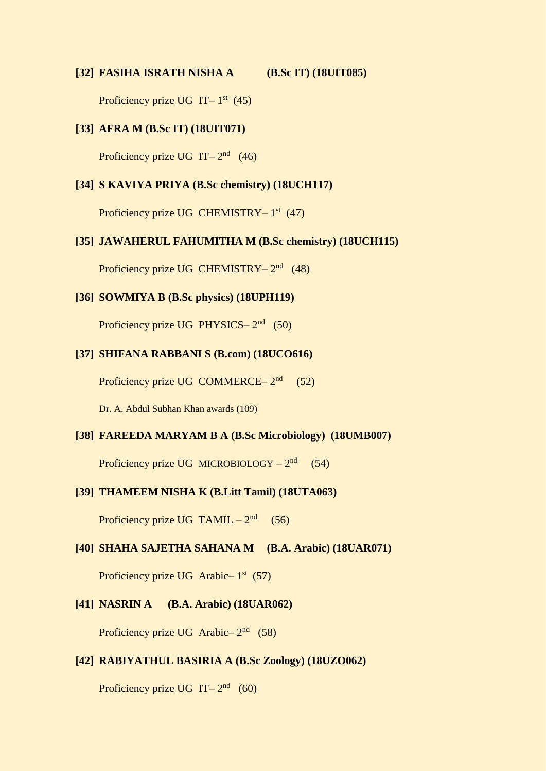#### **[32] FASIHA ISRATH NISHA A (B.Sc IT) (18UIT085)**

Proficiency prize UG IT $-1$ <sup>st</sup> (45)

# **[33] AFRA M (B.Sc IT) (18UIT071)**

Proficiency prize UG IT $-2^{nd}$  (46)

### **[34] S KAVIYA PRIYA (B.Sc chemistry) (18UCH117)**

Proficiency prize UG CHEMISTRY-1<sup>st</sup> (47)

#### **[35] JAWAHERUL FAHUMITHA M (B.Sc chemistry) (18UCH115)**

Proficiency prize UG CHEMISTRY-2<sup>nd</sup> (48)

#### **[36] SOWMIYA B (B.Sc physics) (18UPH119)**

Proficiency prize UG PHYSICS-2<sup>nd</sup> (50)

# **[37] SHIFANA RABBANI S (B.com) (18UCO616)**

Proficiency prize UG COMMERCE –  $2<sup>nd</sup>$  (52)

Dr. A. Abdul Subhan Khan awards (109)

# **[38] FAREEDA MARYAM B A (B.Sc Microbiology) (18UMB007)**

Proficiency prize UG MICROBIOLOGY  $-2<sup>nd</sup>$  (54)

# **[39] THAMEEM NISHA K (B.Litt Tamil) (18UTA063)**

Proficiency prize UG  $TAMIL - 2<sup>nd</sup>$  (56)

# **[40] SHAHA SAJETHA SAHANA M (B.A. Arabic) (18UAR071)**

Proficiency prize UG Arabic- $1<sup>st</sup>$  (57)

#### **[41] NASRIN A (B.A. Arabic) (18UAR062)**

Proficiency prize UG Arabic– $2<sup>nd</sup>$  (58)

### **[42] RABIYATHUL BASIRIA A (B.Sc Zoology) (18UZO062)**

Proficiency prize UG IT $-2^{nd}$  (60)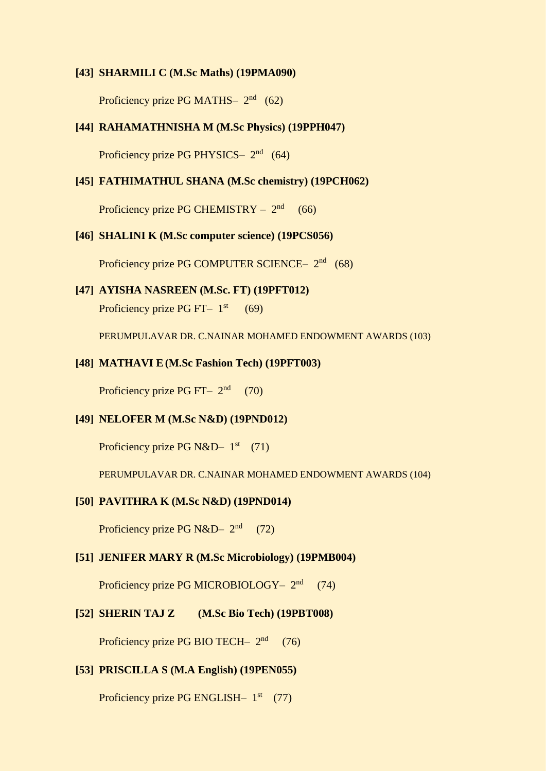#### **[43] SHARMILI C (M.Sc Maths) (19PMA090)**

Proficiency prize PG MATHS $- 2<sup>nd</sup> (62)$ 

# **[44] RAHAMATHNISHA M (M.Sc Physics) (19PPH047)**

Proficiency prize PG PHYSICS- 2<sup>nd</sup> (64)

#### **[45] FATHIMATHUL SHANA (M.Sc chemistry) (19PCH062)**

Proficiency prize PG CHEMISTRY  $- 2<sup>nd</sup> (66)$ 

# **[46] SHALINI K (M.Sc computer science) (19PCS056)**

Proficiency prize PG COMPUTER SCIENCE- 2<sup>nd</sup> (68)

#### **[47] AYISHA NASREEN (M.Sc. FT) (19PFT012)**

Proficiency prize PG FT $-1$ <sup>st</sup> (69)

PERUMPULAVAR DR. C.NAINAR MOHAMED ENDOWMENT AWARDS (103)

#### **[48] MATHAVI E(M.Sc Fashion Tech) (19PFT003)**

Proficiency prize PG FT $-2<sup>nd</sup>$  (70)

#### **[49] NELOFER M (M.Sc N&D) (19PND012)**

Proficiency prize PG N&D-  $1<sup>st</sup>$  (71)

PERUMPULAVAR DR. C.NAINAR MOHAMED ENDOWMENT AWARDS (104)

# **[50] PAVITHRA K (M.Sc N&D) (19PND014)**

Proficiency prize PG N&D-  $2<sup>nd</sup>$  (72)

#### **[51] JENIFER MARY R (M.Sc Microbiology) (19PMB004)**

Proficiency prize PG MICROBIOLOGY- 2<sup>nd</sup> (74)

#### **[52] SHERIN TAJ Z (M.Sc Bio Tech) (19PBT008)**

Proficiency prize PG BIO TECH- 2<sup>nd</sup> (76)

#### **[53] PRISCILLA S (M.A English) (19PEN055)**

Proficiency prize PG ENGLISH- 1<sup>st</sup> (77)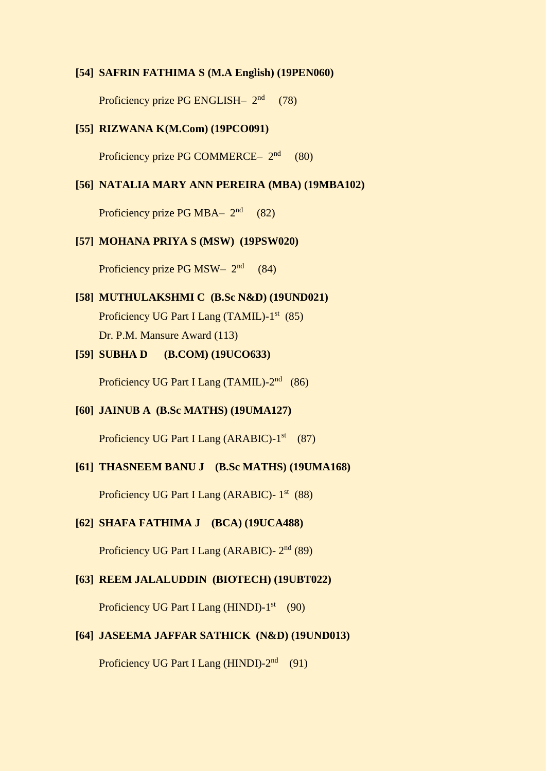#### **[54] SAFRIN FATHIMA S (M.A English) (19PEN060)**

Proficiency prize PG ENGLISH $-2<sup>nd</sup>$  (78)

### **[55] RIZWANA K(M.Com) (19PCO091)**

Proficiency prize PG COMMERCE  $2<sup>nd</sup>$  (80)

# **[56] NATALIA MARY ANN PEREIRA (MBA) (19MBA102)**

Proficiency prize PG MBA $-2<sup>nd</sup>$  (82)

#### **[57] MOHANA PRIYA S (MSW) (19PSW020)**

Proficiency prize PG MSW $-2<sup>nd</sup>$  (84)

# **[58] MUTHULAKSHMI C (B.Sc N&D) (19UND021)**

Proficiency UG Part I Lang (TAMIL)-1<sup>st</sup> (85) Dr. P.M. Mansure Award (113)

# **[59] SUBHA D (B.COM) (19UCO633)**

Proficiency UG Part I Lang (TAMIL)-2<sup>nd</sup> (86)

# **[60] JAINUB A (B.Sc MATHS) (19UMA127)**

Proficiency UG Part I Lang (ARABIC)-1<sup>st</sup> (87)

# **[61] THASNEEM BANU J (B.Sc MATHS) (19UMA168)**

Proficiency UG Part I Lang (ARABIC)- 1<sup>st</sup> (88)

#### **[62] SHAFA FATHIMA J (BCA) (19UCA488)**

Proficiency UG Part I Lang (ARABIC)- 2<sup>nd</sup> (89)

# **[63] REEM JALALUDDIN (BIOTECH) (19UBT022)**

Proficiency UG Part I Lang (HINDI)-1<sup>st</sup> (90)

# **[64] JASEEMA JAFFAR SATHICK (N&D) (19UND013)**

Proficiency UG Part I Lang (HINDI)-2<sup>nd</sup> (91)